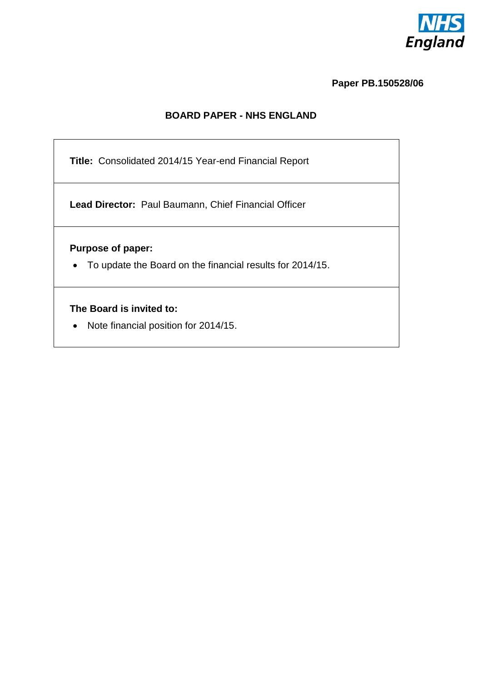

**Paper PB.150528/06**

### **BOARD PAPER - NHS ENGLAND**

**Title:** Consolidated 2014/15 Year-end Financial Report

**Lead Director:** Paul Baumann, Chief Financial Officer

**Purpose of paper:** 

To update the Board on the financial results for 2014/15.

### **The Board is invited to:**

• Note financial position for 2014/15.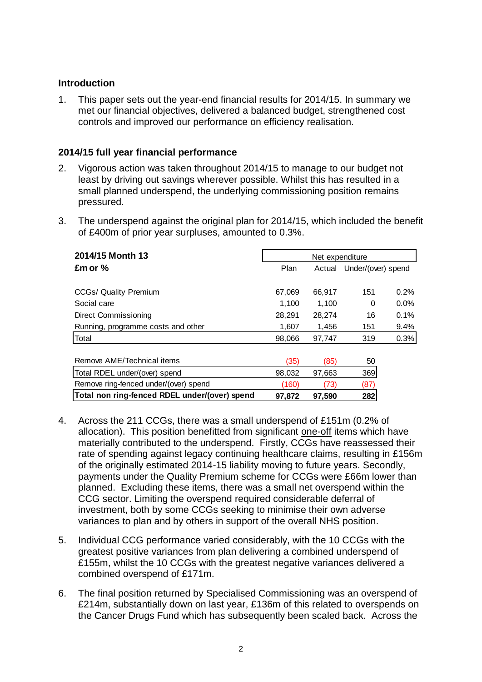### **Introduction**

1. This paper sets out the year-end financial results for 2014/15. In summary we met our financial objectives, delivered a balanced budget, strengthened cost controls and improved our performance on efficiency realisation.

### **2014/15 full year financial performance**

- 2. Vigorous action was taken throughout 2014/15 to manage to our budget not least by driving out savings wherever possible. Whilst this has resulted in a small planned underspend, the underlying commissioning position remains pressured.
- 3. The underspend against the original plan for 2014/15, which included the benefit of £400m of prior year surpluses, amounted to 0.3%.

| 2014/15 Month 13                              | Net expenditure |        |                           |         |  |
|-----------------------------------------------|-----------------|--------|---------------------------|---------|--|
| Emor %                                        | Plan            |        | Actual Under/(over) spend |         |  |
|                                               |                 |        |                           |         |  |
| CCGs/ Quality Premium                         | 67,069          | 66,917 | 151                       | 0.2%    |  |
| Social care                                   | 1.100           | 1.100  | 0                         | $0.0\%$ |  |
| Direct Commissioning                          | 28,291          | 28,274 | 16                        | $0.1\%$ |  |
| Running, programme costs and other            | 1,607           | 1,456  | 151                       | 9.4%    |  |
| Total                                         | 98,066          | 97,747 | 319                       | 0.3%    |  |
|                                               |                 |        |                           |         |  |
| Remove AME/Technical items                    | (35)            | (85)   | 50                        |         |  |
| Total RDEL under/(over) spend                 | 98,032          | 97,663 | 369                       |         |  |
| Remove ring-fenced under/(over) spend         | (160)           | (73)   | (87)                      |         |  |
| Total non ring-fenced RDEL under/(over) spend | 97,872          | 97,590 | 282                       |         |  |

- 4. Across the 211 CCGs, there was a small underspend of £151m (0.2% of allocation). This position benefitted from significant one-off items which have materially contributed to the underspend. Firstly, CCGs have reassessed their rate of spending against legacy continuing healthcare claims, resulting in £156m of the originally estimated 2014-15 liability moving to future years. Secondly, payments under the Quality Premium scheme for CCGs were £66m lower than planned. Excluding these items, there was a small net overspend within the CCG sector. Limiting the overspend required considerable deferral of investment, both by some CCGs seeking to minimise their own adverse variances to plan and by others in support of the overall NHS position.
- 5. Individual CCG performance varied considerably, with the 10 CCGs with the greatest positive variances from plan delivering a combined underspend of £155m, whilst the 10 CCGs with the greatest negative variances delivered a combined overspend of £171m.
- 6. The final position returned by Specialised Commissioning was an overspend of £214m, substantially down on last year, £136m of this related to overspends on the Cancer Drugs Fund which has subsequently been scaled back. Across the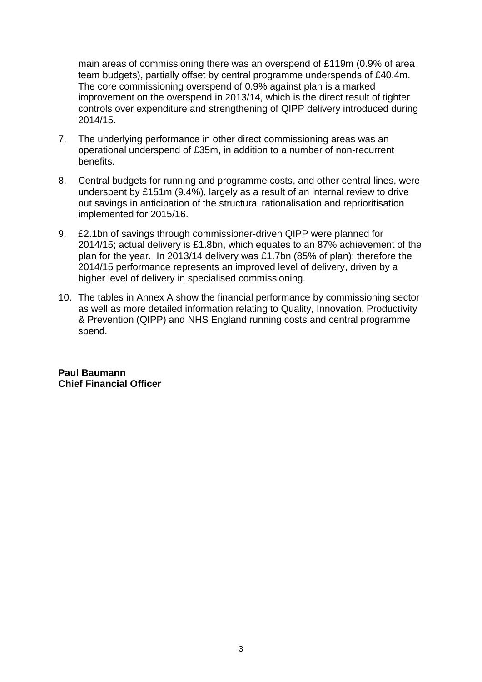main areas of commissioning there was an overspend of £119m (0.9% of area team budgets), partially offset by central programme underspends of £40.4m. The core commissioning overspend of 0.9% against plan is a marked improvement on the overspend in 2013/14, which is the direct result of tighter controls over expenditure and strengthening of QIPP delivery introduced during 2014/15.

- 7. The underlying performance in other direct commissioning areas was an operational underspend of £35m, in addition to a number of non-recurrent benefits.
- 8. Central budgets for running and programme costs, and other central lines, were underspent by £151m (9.4%), largely as a result of an internal review to drive out savings in anticipation of the structural rationalisation and reprioritisation implemented for 2015/16.
- 9. £2.1bn of savings through commissioner-driven QIPP were planned for 2014/15; actual delivery is £1.8bn, which equates to an 87% achievement of the plan for the year. In 2013/14 delivery was £1.7bn (85% of plan); therefore the 2014/15 performance represents an improved level of delivery, driven by a higher level of delivery in specialised commissioning.
- 10. The tables in Annex A show the financial performance by commissioning sector as well as more detailed information relating to Quality, Innovation, Productivity & Prevention (QIPP) and NHS England running costs and central programme spend.

**Paul Baumann Chief Financial Officer**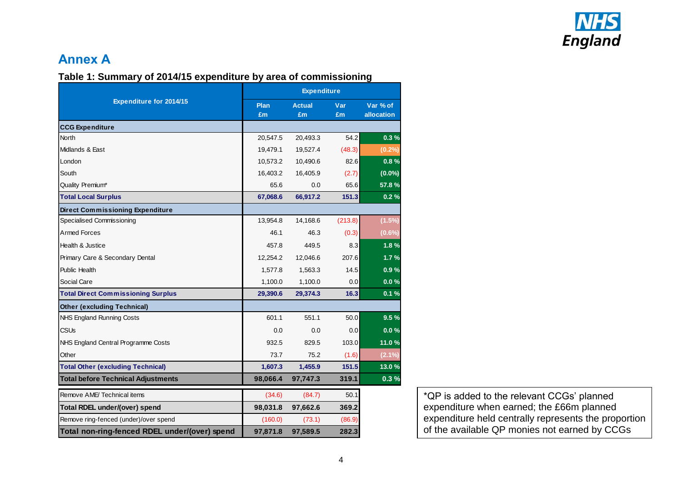

### **Table 1: Summary of 2014/15 expenditure by area of commissioning**

|                                               | <b>Expenditure</b> |                     |           |                        |  |
|-----------------------------------------------|--------------------|---------------------|-----------|------------------------|--|
| <b>Expenditure for 2014/15</b>                | Plan<br>£m         | <b>Actual</b><br>£m | Var<br>£m | Var % of<br>allocation |  |
| <b>CCG Expenditure</b>                        |                    |                     |           |                        |  |
| <b>North</b>                                  | 20,547.5           | 20,493.3            | 54.2      | 0.3%                   |  |
| Midlands & East                               | 19,479.1           | 19,527.4            | (48.3)    | (0.2%)                 |  |
| London                                        | 10,573.2           | 10,490.6            | 82.6      | 0.8%                   |  |
| South                                         | 16,403.2           | 16,405.9            | (2.7)     | $(0.0\%)$              |  |
| Quality Premium*                              | 65.6               | 0.0                 | 65.6      | 57.8%                  |  |
| <b>Total Local Surplus</b>                    | 67,068.6           | 66,917.2            | 151.3     | 0.2%                   |  |
| <b>Direct Commissioning Expenditure</b>       |                    |                     |           |                        |  |
| Specialised Commissioning                     | 13,954.8           | 14,168.6            | (213.8)   | (1.5%)                 |  |
| Armed Forces                                  | 46.1               | 46.3                | (0.3)     | $(0.6\%)$              |  |
| Health & Justice                              | 457.8              | 449.5               | 8.3       | 1.8%                   |  |
| Primary Care & Secondary Dental               | 12,254.2           | 12,046.6            | 207.6     | 1.7%                   |  |
| <b>Public Health</b>                          | 1,577.8            | 1,563.3             | 14.5      | 0.9%                   |  |
| Social Care                                   | 1,100.0            | 1,100.0             | 0.0       | 0.0%                   |  |
| <b>Total Direct Commissioning Surplus</b>     | 29,390.6           | 29,374.3            | 16.3      | 0.1%                   |  |
| <b>Other (excluding Technical)</b>            |                    |                     |           |                        |  |
| NHS England Running Costs                     | 601.1              | 551.1               | 50.0      | 9.5%                   |  |
| <b>CSUs</b>                                   | 0.0                | 0.0                 | 0.0       | 0.0%                   |  |
| NHS England Central Programme Costs           | 932.5              | 829.5               | 103.0     | 11.0%                  |  |
| Other                                         | 73.7               | 75.2                | (1.6)     | $(2.1\%)$              |  |
| <b>Total Other (excluding Technical)</b>      | 1,607.3            | 1,455.9             | 151.5     | 13.0%                  |  |
| <b>Total before Technical Adjustments</b>     | 98,066.4           | 97,747.3            | 319.1     | 0.3%                   |  |
| Remove AME/Technical items                    | (34.6)             | (84.7)              | 50.1      |                        |  |
| Total RDEL under/(over) spend                 | 98,031.8           | 97,662.6            | 369.2     |                        |  |
| Remove ring-fenced (under)/over spend         | (160.0)            | (73.1)              | (86.9)    |                        |  |
| Total non-ring-fenced RDEL under/(over) spend | 97,871.8           | 97,589.5            | 282.3     |                        |  |

\*QP is added to the relevant CCGs' planned expenditure when earned; the £66m planned expenditure held centrally represents the proportion of the available QP monies not earned by CCGs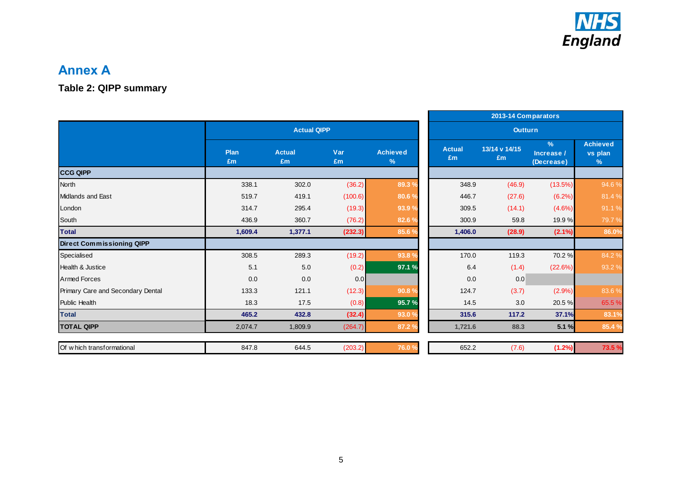

**Table 2: QIPP summary**

|                    |                     |           |                      |                     |                     | 2013-14 Comparators                       |                                             |
|--------------------|---------------------|-----------|----------------------|---------------------|---------------------|-------------------------------------------|---------------------------------------------|
| <b>Actual QIPP</b> |                     |           |                      | <b>Outturn</b>      |                     |                                           |                                             |
| Plan<br>£m         | <b>Actual</b><br>£m | Var<br>Em | <b>Achieved</b><br>% | <b>Actual</b><br>Em | 13/14 v 14/15<br>Em | $\frac{9}{6}$<br>Increase /<br>(Decrease) | <b>Achieved</b><br>vs plan<br>$\frac{9}{6}$ |
|                    |                     |           |                      |                     |                     |                                           |                                             |
| 338.1              | 302.0               | (36.2)    | 89.3%                | 348.9               | (46.9)              | (13.5%)                                   | 94.6 %                                      |
| 519.7              | 419.1               | (100.6)   | 80.6%                | 446.7               | (27.6)              | (6.2%)                                    | 81.4%                                       |
| 314.7              | 295.4               | (19.3)    | 93.9 º               | 309.5               | (14.1)              | (4.6%)                                    | 91.1%                                       |
| 436.9              | 360.7               | (76.2)    | 82.6%                | 300.9               | 59.8                | 19.9%                                     | 79.7%                                       |
| 1,609.4            | 1,377.1             | (232.3)   | 85.6 %               | 1,406.0             | (28.9)              | $(2.1\%)$                                 | 86.0%                                       |
|                    |                     |           |                      |                     |                     |                                           |                                             |
| 308.5              | 289.3               | (19.2)    | 93.8 <sup>9</sup>    | 170.0               | 119.3               | 70.2%                                     | 84.2 %                                      |
| 5.1                | 5.0                 | (0.2)     | 97.1 %               | 6.4                 | (1.4)               | (22.6%)                                   | 93.2 %                                      |
| 0.0                | 0.0                 | 0.0       |                      | 0.0                 | 0.0                 |                                           |                                             |
| 133.3              | 121.1               | (12.3)    | 90.8 <sub>9</sub>    | 124.7               | (3.7)               | (2.9%)                                    | 83.6%                                       |
| 18.3               | 17.5                | (0.8)     | 95.7%                | 14.5                | 3.0                 | 20.5 %                                    | 65.5 %                                      |
| 465.2              | 432.8               | (32.4)    | 93.0 <sub>9</sub>    | 315.6               | 117.2               | 37.1%                                     | 83.1%                                       |
| 2,074.7            | 1,809.9             | (264.7)   | 87.2 %               | 1,721.6             | 88.3                | 5.1 %                                     | 85.4 %                                      |
|                    |                     |           |                      |                     |                     |                                           | 73.5 %                                      |
|                    | 847.8               | 644.5     | (203.2)              | 76.0                | 652.2               | (7.6)                                     | (1.2%)                                      |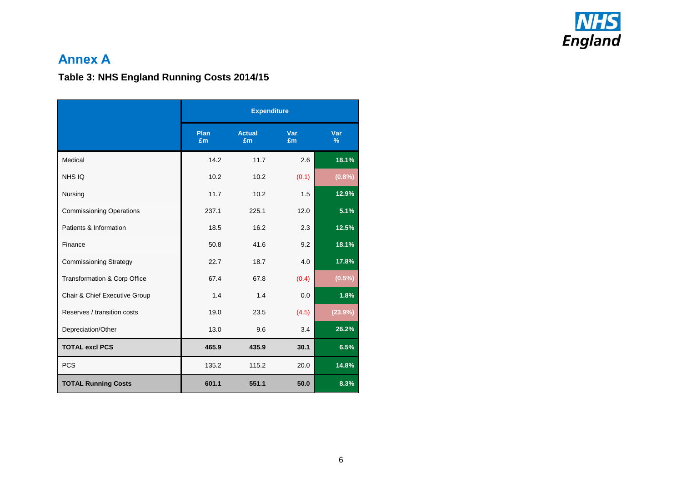

## **Table 3: NHS England Running Costs 2014/15**

|                                 | <b>Expenditure</b> |                     |           |             |  |
|---------------------------------|--------------------|---------------------|-----------|-------------|--|
|                                 | Plan<br>£m         | <b>Actual</b><br>£m | Var<br>£m | Var<br>$\%$ |  |
| Medical                         | 14.2               | 11.7                | 2.6       | 18.1%       |  |
| NHS IQ                          | 10.2               | 10.2                | (0.1)     | (0.8%       |  |
| Nursing                         | 11.7               | 10.2                | 1.5       | 12.9%       |  |
| <b>Commissioning Operations</b> | 237.1              | 225.1               | 12.0      | 5.1%        |  |
| Patients & Information          | 18.5               | 16.2                | 2.3       | 12.5%       |  |
| Finance                         | 50.8               | 41.6                | 9.2       | 18.1%       |  |
| <b>Commissioning Strategy</b>   | 22.7               | 18.7                | 4.0       | 17.8%       |  |
| Transformation & Corp Office    | 67.4               | 67.8                | (0.4)     | $(0.5\%)$   |  |
| Chair & Chief Executive Group   | 1.4                | 1.4                 | 0.0       | 1.8%        |  |
| Reserves / transition costs     | 19.0               | 23.5                | (4.5)     | (23.9%)     |  |
| Depreciation/Other              | 13.0               | 9.6                 | 3.4       | 26.2%       |  |
| <b>TOTAL excl PCS</b>           | 465.9              | 435.9               | 30.1      | 6.5%        |  |
| <b>PCS</b>                      | 135.2              | 115.2               | 20.0      | 14.8%       |  |
| <b>TOTAL Running Costs</b>      | 601.1              | 551.1               | 50.0      | 8.3%        |  |